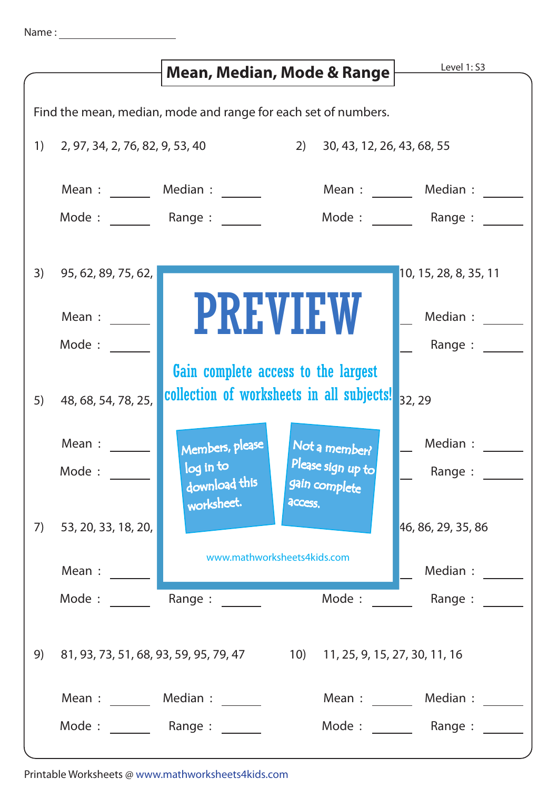|                                                                | Mean, Median, Mode & Range                                               |                                                     | Level 1: S3                        |                       |
|----------------------------------------------------------------|--------------------------------------------------------------------------|-----------------------------------------------------|------------------------------------|-----------------------|
| Find the mean, median, mode and range for each set of numbers. |                                                                          |                                                     |                                    |                       |
| 1)                                                             | 2, 97, 34, 2, 76, 82, 9, 53, 40<br>2)<br>30, 43, 12, 26, 43, 68, 55      |                                                     |                                    |                       |
|                                                                | Mean :                                                                   | Median :                                            |                                    | Mean : Median :       |
|                                                                | Mode: Range:                                                             |                                                     |                                    | Mode: Range:          |
| 3)                                                             | 95, 62, 89, 75, 62,                                                      |                                                     |                                    | 10, 15, 28, 8, 35, 11 |
|                                                                | Mean :                                                                   | <b>PREVIEW</b>                                      |                                    | Median :              |
|                                                                | Mode:                                                                    | Gain complete access to the largest                 |                                    | Range:                |
| 5)                                                             | 48, 68, 54, 78, 25,                                                      | collection of worksheets in all subjects!<br>32, 29 |                                    |                       |
|                                                                | Mean :                                                                   | Members, please                                     | Not a member?                      | Median :              |
|                                                                | Mode:                                                                    | log in to<br>download this                          | Please sign up to<br>gain complete | Range :               |
| 7)                                                             | 53, 20, 33, 18, 20,                                                      | worksheet.<br>access.                               |                                    | 46, 86, 29, 35, 86    |
|                                                                | Mean :                                                                   | www.mathworksheets4kids.com                         |                                    | Median :              |
|                                                                | Mode:                                                                    | Range :                                             | Mode:                              | Range :               |
| 9)                                                             | 81, 93, 73, 51, 68, 93, 59, 95, 79, 47 10) 11, 25, 9, 15, 27, 30, 11, 16 |                                                     |                                    |                       |
|                                                                |                                                                          | Mean: Median:                                       |                                    | Mean: Median:         |
|                                                                | Mode: Range:                                                             |                                                     |                                    | Mode: Range:          |

Printable Worksheets @ www.mathworksheets4kids.com